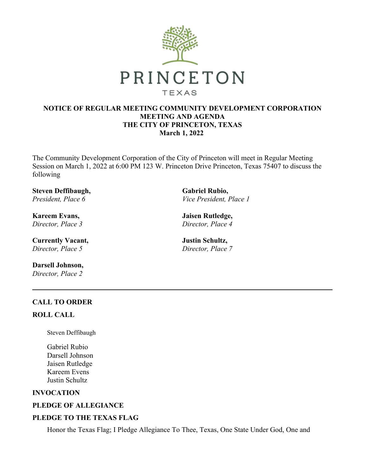

## **NOTICE OF REGULAR MEETING COMMUNITY DEVELOPMENT CORPORATION MEETING AND AGENDA THE CITY OF PRINCETON, TEXAS March 1, 2022**

The Community Development Corporation of the City of Princeton will meet in Regular Meeting Session on March 1, 2022 at 6:00 PM 123 W. Princeton Drive Princeton, Texas 75407 to discuss the following

**Steven Deffibaugh,** *President, Place 6*

**Kareem Evans,** *Director, Place 3*

**Currently Vacant,** *Director, Place 5*

**Darsell Johnson,** *Director, Place 2*

**Gabriel Rubio,** *Vice President, Place 1*

**Jaisen Rutledge,** *Director, Place 4*

**Justin Schultz,** *Director, Place 7*

# **CALL TO ORDER**

## **ROLL CALL**

Steven Deffibaugh

Gabriel Rubio Darsell Johnson Jaisen Rutledge Kareem Evens Justin Schultz

## **INVOCATION**

# **PLEDGE OF ALLEGIANCE**

# **PLEDGE TO THE TEXAS FLAG**

Honor the Texas Flag; I Pledge Allegiance To Thee, Texas, One State Under God, One and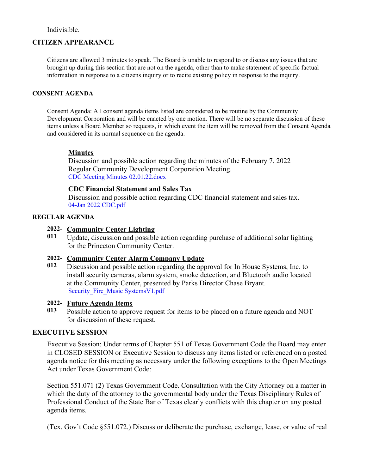## Indivisible.

## **CITIZEN APPEARANCE**

Citizens are allowed 3 minutes to speak. The Board is unable to respond to or discuss any issues that are brought up during this section that are not on the agenda, other than to make statement of specific factual information in response to a citizens inquiry or to recite existing policy in response to the inquiry.

#### **CONSENT AGENDA**

Consent Agenda: All consent agenda items listed are considered to be routine by the Community Development Corporation and will be enacted by one motion. There will be no separate discussion of these items unless a Board Member so requests, in which event the item will be removed from the Consent Agenda and considered in its normal sequence on the agenda.

#### **Minutes**

Discussion and possible action regarding the minutes of the February 7, 2022 Regular Community Development Corporation Meeting. CDC Meeting Minutes [02.01.22.docx](https://legistarweb-production.s3.amazonaws.com/uploads/attachment/pdf/1241430/CDC_Meeting_Minutes_02.01.22.pdf)

## **CDC Financial Statement and Sales Tax**

Discussion and possible action regarding CDC financial statement and sales tax. 04-Jan 2022 [CDC.pdf](https://legistarweb-production.s3.amazonaws.com/uploads/attachment/pdf/1254784/04-Jan_2022_CDC.pdf)

## **REGULAR AGENDA**

#### **2022- Community Center Lighting**

**011** Update, discussion and possible action regarding purchase of additional solar lighting for the Princeton Community Center.

### **2022- Community Center Alarm Company Update**

**012** Discussion and possible action regarding the approval for In House Systems, Inc. to install security cameras, alarm system, smoke detection, and Bluetooth audio located at the Community Center, presented by Parks Director Chase Bryant. [Security\\_Fire\\_Music](https://legistarweb-production.s3.amazonaws.com/uploads/attachment/pdf/1255376/Security_Fire_Music_SystemsV1.pdf) SystemsV1.pdf

### **2022- Future Agenda Items**

**013** Possible action to approve request for items to be placed on a future agenda and NOT for discussion of these request.

#### **EXECUTIVE SESSION**

Executive Session: Under terms of Chapter 551 of Texas Government Code the Board may enter in CLOSED SESSION or Executive Session to discuss any items listed or referenced on a posted agenda notice for this meeting as necessary under the following exceptions to the Open Meetings Act under Texas Government Code:

Section 551.071 (2) Texas Government Code. Consultation with the City Attorney on a matter in which the duty of the attorney to the governmental body under the Texas Disciplinary Rules of Professional Conduct of the State Bar of Texas clearly conflicts with this chapter on any posted agenda items.

(Tex. Gov't Code §551.072.) Discuss or deliberate the purchase, exchange, lease, or value of real